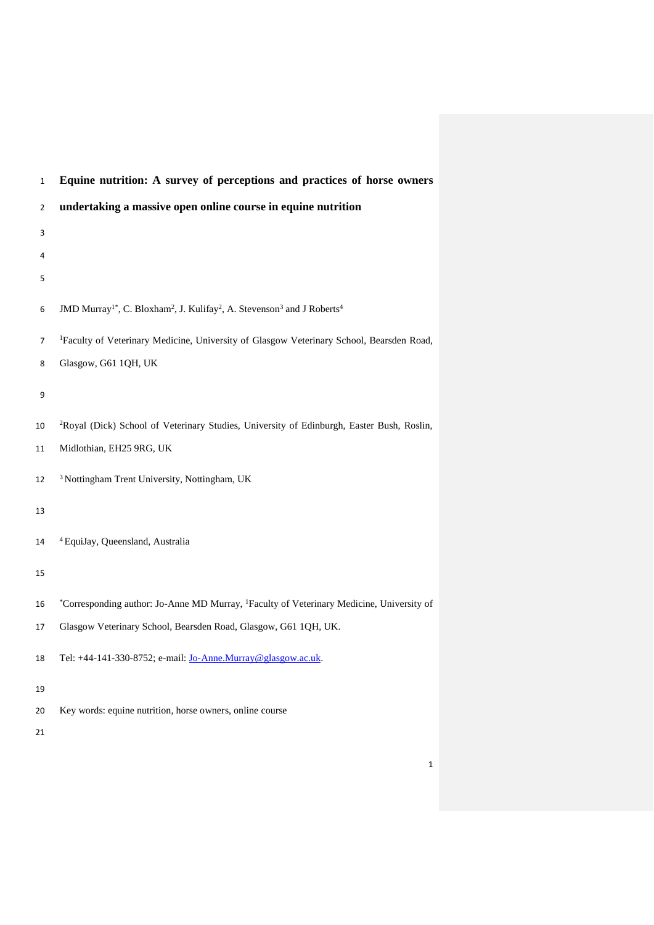| 2  | undertaking a massive open online course in equine nutrition                                                                        |
|----|-------------------------------------------------------------------------------------------------------------------------------------|
| 3  |                                                                                                                                     |
| 4  |                                                                                                                                     |
| 5  |                                                                                                                                     |
| 6  | JMD Murray <sup>1*</sup> , C. Bloxham <sup>2</sup> , J. Kulifay <sup>2</sup> , A. Stevenson <sup>3</sup> and J Roberts <sup>4</sup> |
| 7  | <sup>1</sup> Faculty of Veterinary Medicine, University of Glasgow Veterinary School, Bearsden Road,                                |
| 8  | Glasgow, G61 1QH, UK                                                                                                                |
| 9  |                                                                                                                                     |
| 10 | <sup>2</sup> Royal (Dick) School of Veterinary Studies, University of Edinburgh, Easter Bush, Roslin,                               |
| 11 | Midlothian, EH25 9RG, UK                                                                                                            |
| 12 | <sup>3</sup> Nottingham Trent University, Nottingham, UK                                                                            |
| 13 |                                                                                                                                     |
| 14 | <sup>4</sup> EquiJay, Queensland, Australia                                                                                         |
|    |                                                                                                                                     |
| 15 |                                                                                                                                     |
| 16 | *Corresponding author: Jo-Anne MD Murray, <sup>1</sup> Faculty of Veterinary Medicine, University of                                |
| 17 | Glasgow Veterinary School, Bearsden Road, Glasgow, G61 1QH, UK.                                                                     |
| 18 | Tel: +44-141-330-8752; e-mail: Jo-Anne.Murray@glasgow.ac.uk.                                                                        |
| 19 |                                                                                                                                     |
| 20 | Key words: equine nutrition, horse owners, online course                                                                            |
| 21 |                                                                                                                                     |

# **Equine nutrition: A survey of perceptions and practices of horse owners**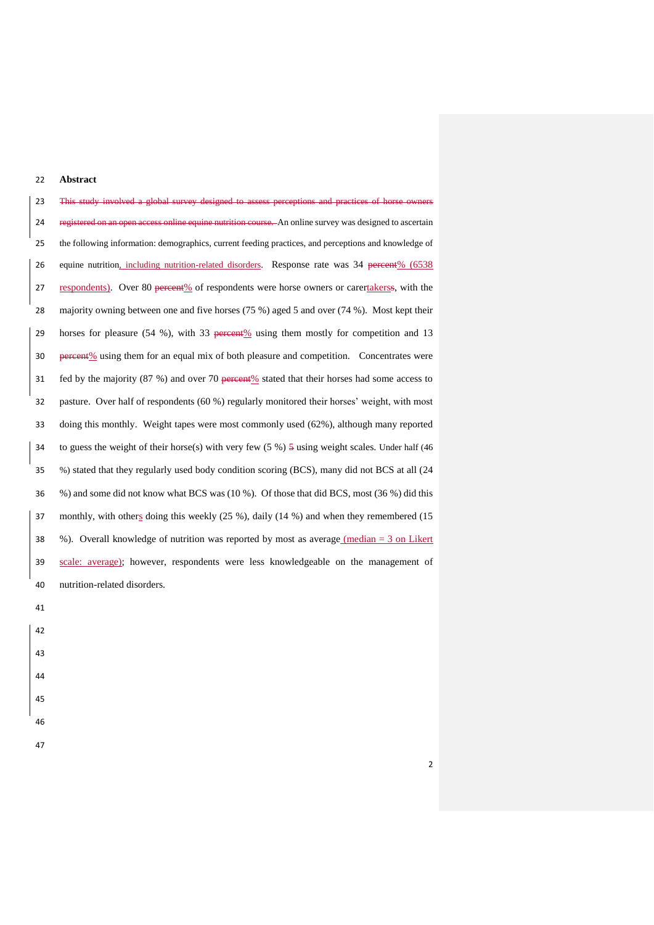# **Abstract**

 This study involved a global survey designed to assess perceptions and practices of horse owners 24 registered on an open access online equine nutrition course. An online survey was designed to ascertain the following information: demographics, current feeding practices, and perceptions and knowledge of 26 equine nutrition, including nutrition-related disorders. Response rate was 34 percent% (6538) 27 respondents). Over 80 percent% of respondents were horse owners or carertakerss, with the majority owning between one and five horses (75 %) aged 5 and over (74 %). Most kept their 29 horses for pleasure  $(54 \%)$ , with 33 percent  $\%$  using them mostly for competition and 13 30 percent % using them for an equal mix of both pleasure and competition. Concentrates were 31 fed by the majority (87 %) and over 70 percent % stated that their horses had some access to pasture. Over half of respondents (60 %) regularly monitored their horses' weight, with most doing this monthly. Weight tapes were most commonly used (62%), although many reported to guess the weight of their horse(s) with very few (5 %) 5 using weight scales. Under half (46 %) stated that they regularly used body condition scoring (BCS), many did not BCS at all (24 %) and some did not know what BCS was (10 %). Of those that did BCS, most (36 %) did this monthly, with others doing this weekly (25 %), daily (14 %) and when they remembered (15 %). Overall knowledge of nutrition was reported by most as average (median = 3 on Likert scale: average); however, respondents were less knowledgeable on the management of nutrition-related disorders.

- 
- 
- 
- 
- 
-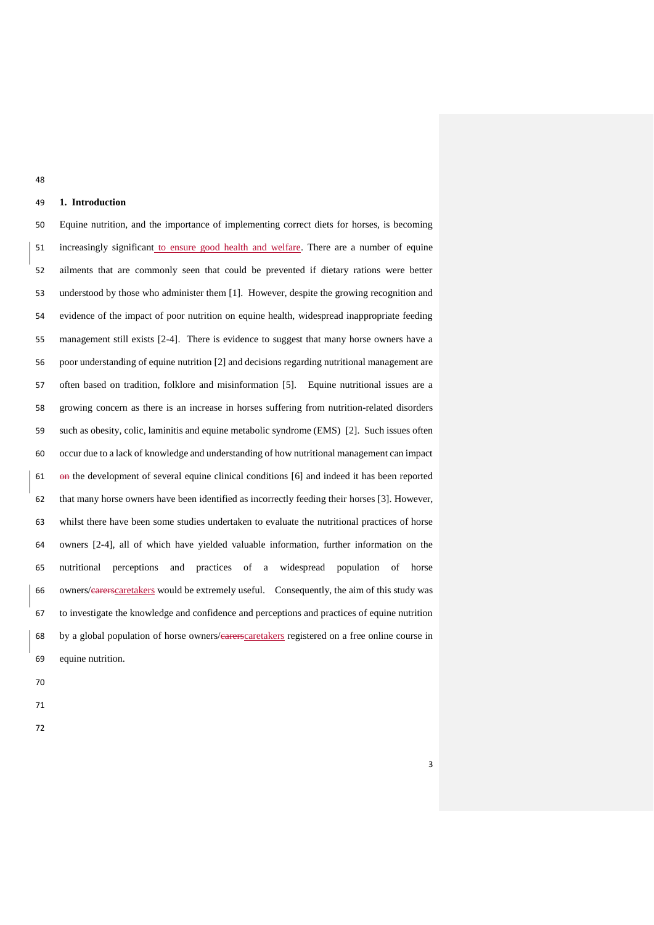# **1. Introduction**

 Equine nutrition, and the importance of implementing correct diets for horses, is becoming 51 increasingly significant to ensure good health and welfare. There are a number of equine ailments that are commonly seen that could be prevented if dietary rations were better understood by those who administer them [\[1\]](#page-16-0). However, despite the growing recognition and evidence of the impact of poor nutrition on equine health, widespread inappropriate feeding management still exists [\[2-4\]](#page-16-1). There is evidence to suggest that many horse owners have a poor understanding of equine nutrition [\[2\]](#page-16-1) and decisions regarding nutritional management are often based on tradition, folklore and misinformation [\[5\]](#page-16-2). Equine nutritional issues are a growing concern as there is an increase in horses suffering from nutrition-related disorders such as obesity, colic, laminitis and equine metabolic syndrome (EMS) [\[2\]](#page-16-1). Such issues often occur due to a lack of knowledge and understanding of how nutritional management can impact on the development of several equine clinical conditions [\[6\]](#page-16-3) and indeed it has been reported that many horse owners have been identified as incorrectly feeding their horses [\[3\]](#page-16-4). However, whilst there have been some studies undertaken to evaluate the nutritional practices of horse owners [\[2-4\]](#page-16-1), all of which have yielded valuable information, further information on the nutritional perceptions and practices of a widespread population of horse owners/carerscaretakers would be extremely useful. Consequently, the aim of this study was to investigate the knowledge and confidence and perceptions and practices of equine nutrition by a global population of horse owners/carerscaretakers registered on a free online course in equine nutrition.

- 
- 
-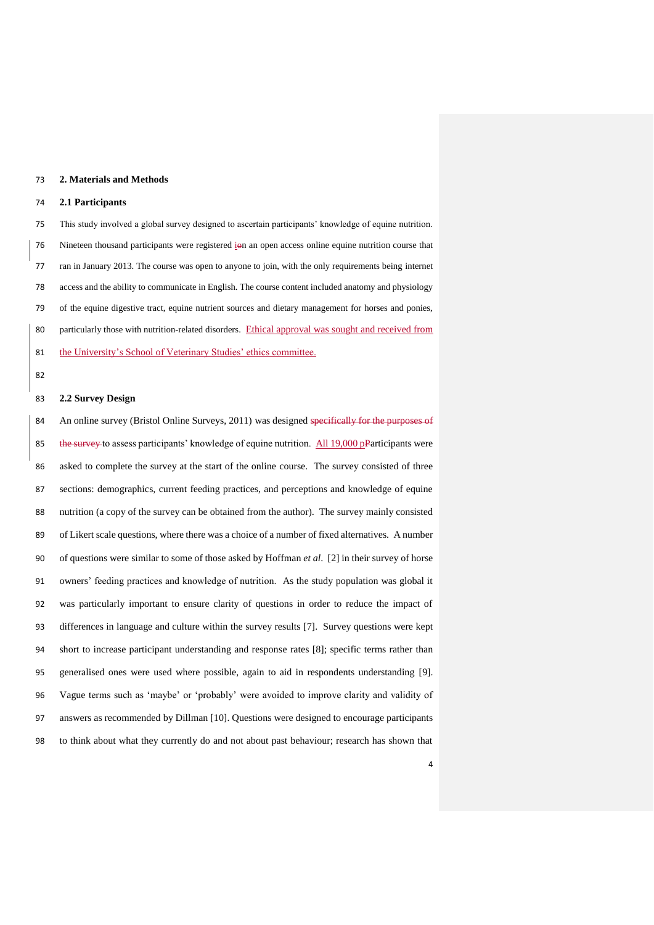## **2. Materials and Methods**

## **2.1 Participants**

 This study involved a global survey designed to ascertain participants' knowledge of equine nutrition. 76 Nineteen thousand participants were registered ion an open access online equine nutrition course that ran in January 2013. The course was open to anyone to join, with the only requirements being internet access and the ability to communicate in English. The course content included anatomy and physiology of the equine digestive tract, equine nutrient sources and dietary management for horses and ponies, 80 particularly those with nutrition-related disorders. Ethical approval was sought and received from 81 the University's School of Veterinary Studies' ethics committee.

#### 

# **2.2 Survey Design**

84 An online survey (Bristol Online Surveys, 2011) was designed specifically for the purposes of 85 the survey to assess participants' knowledge of equine nutrition. All 19,000 pParticipants were asked to complete the survey at the start of the online course. The survey consisted of three sections: demographics, current feeding practices, and perceptions and knowledge of equine nutrition (a copy of the survey can be obtained from the author). The survey mainly consisted of Likert scale questions, where there was a choice of a number of fixed alternatives. A number of questions were similar to some of those asked by Hoffman *et al*. [\[2\]](#page-16-1) in their survey of horse owners' feeding practices and knowledge of nutrition. As the study population was global it was particularly important to ensure clarity of questions in order to reduce the impact of differences in language and culture within the survey results [\[7\]](#page-16-5). Survey questions were kept short to increase participant understanding and response rates [\[8\]](#page-16-6); specific terms rather than generalised ones were used where possible, again to aid in respondents understanding [\[9\]](#page-16-7). Vague terms such as 'maybe' or 'probably' were avoided to improve clarity and validity of answers as recommended by Dillman [\[10\]](#page-16-8). Questions were designed to encourage participants to think about what they currently do and not about past behaviour; research has shown that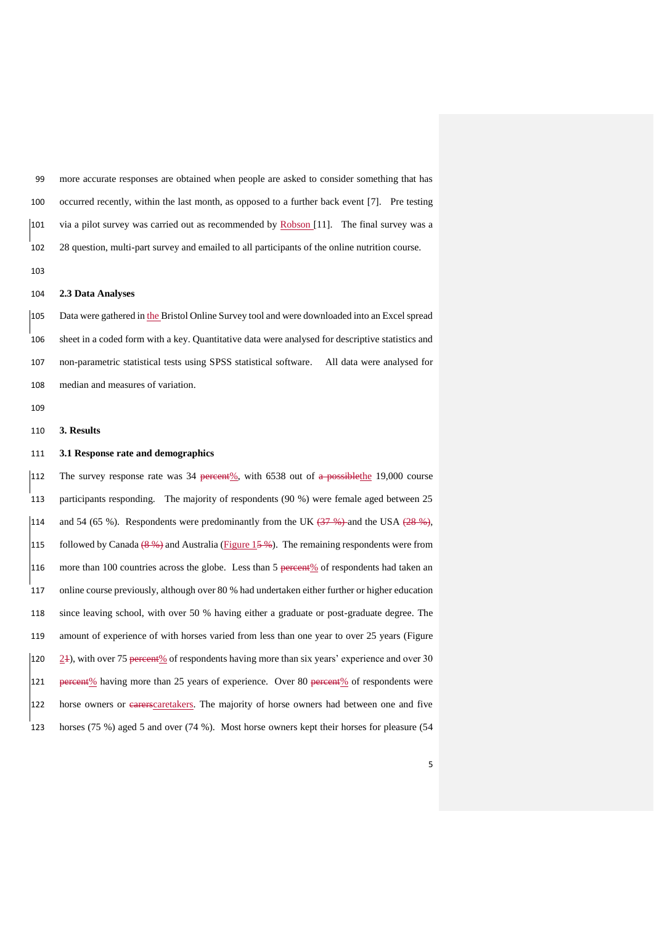more accurate responses are obtained when people are asked to consider something that has occurred recently, within the last month, as opposed to a further back event [\[7\]](#page-16-5). Pre testing via a pilot survey was carried out as recommended by Robson [\[11\]](#page-16-9). The final survey was a 28 question, multi-part survey and emailed to all participants of the online nutrition course.

## **2.3 Data Analyses**

 Data were gathered in the Bristol Online Survey tool and were downloaded into an Excel spread sheet in a coded form with a key. Quantitative data were analysed for descriptive statistics and non-parametric statistical tests using SPSS statistical software. All data were analysed for median and measures of variation.

## **3. Results**

## **3.1 Response rate and demographics**

112 The survey response rate was percent%, with 6538 out of a possible the 19,000 course participants responding. The majority of respondents (90 %) were female aged between 25 114 and 54 (65 %). Respondents were predominantly from the UK  $\left(37\frac{4}{3}\right)$  and the USA  $\left(28\frac{4}{3}\right)$ , 115 followed by Canada  $(8\frac{9}{2})$  and Australia (Figure 15 $\frac{9}{2}$ ). The remaining respondents were from 116 more than 100 countries across the globe. Less than 5 percent % of respondents had taken an online course previously, although over 80 % had undertaken either further or higher education since leaving school, with over 50 % having either a graduate or post-graduate degree. The amount of experience of with horses varied from less than one year to over 25 years (Figure 120  $\geq$  2+), with over 75 percent% of respondents having more than six years' experience and over 30 121 percent% having more than 25 years of experience. Over 80 percent% of respondents were horse owners or carerscaretakers. The majority of horse owners had between one and five horses (75 %) aged 5 and over (74 %). Most horse owners kept their horses for pleasure (54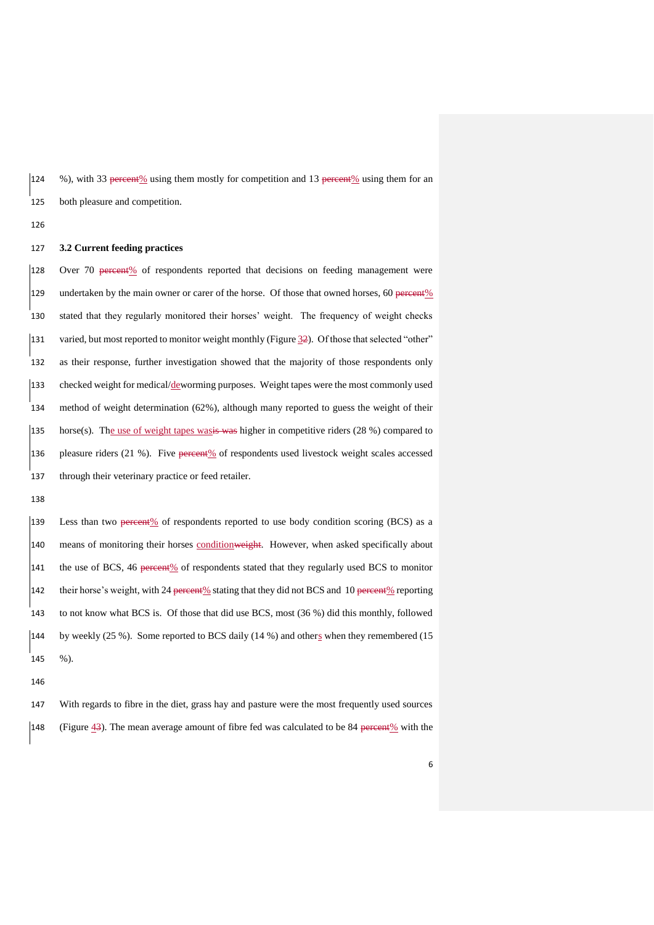124 %), with 33 percent% using them mostly for competition and 13 percent% using them for an both pleasure and competition.

## **3.2 Current feeding practices**

128 Over 70 percent% of respondents reported that decisions on feeding management were 129 undertaken by the main owner or carer of the horse. Of those that owned horses, 60 percent % stated that they regularly monitored their horses' weight. The frequency of weight checks varied, but most reported to monitor weight monthly (Figure 32). Of those that selected "other" as their response, further investigation showed that the majority of those respondents only 133 checked weight for medical/ $d$ eworming purposes. Weight tapes were the most commonly used method of weight determination (62%), although many reported to guess the weight of their 135 horse(s). The use of weight tapes was kighter in competitive riders  $(28\%)$  compared to pleasure riders (21 %). Five percent% of respondents used livestock weight scales accessed through their veterinary practice or feed retailer.

 Less than two percent% of respondents reported to use body condition scoring (BCS) as a 140 means of monitoring their horses condition weight. However, when asked specifically about 141 the use of BCS, 46 percent% of respondents stated that they regularly used BCS to monitor 142 their horse's weight, with 24 percent% stating that they did not BCS and 10 percent% reporting to not know what BCS is. Of those that did use BCS, most (36 %) did this monthly, followed by weekly (25 %). Some reported to BCS daily (14 %) and others when they remembered (15 %).

 With regards to fibre in the diet, grass hay and pasture were the most frequently used sources 148 (Figure  $\frac{43}{3}$ ). The mean average amount of fibre fed was calculated to be 84 percent % with the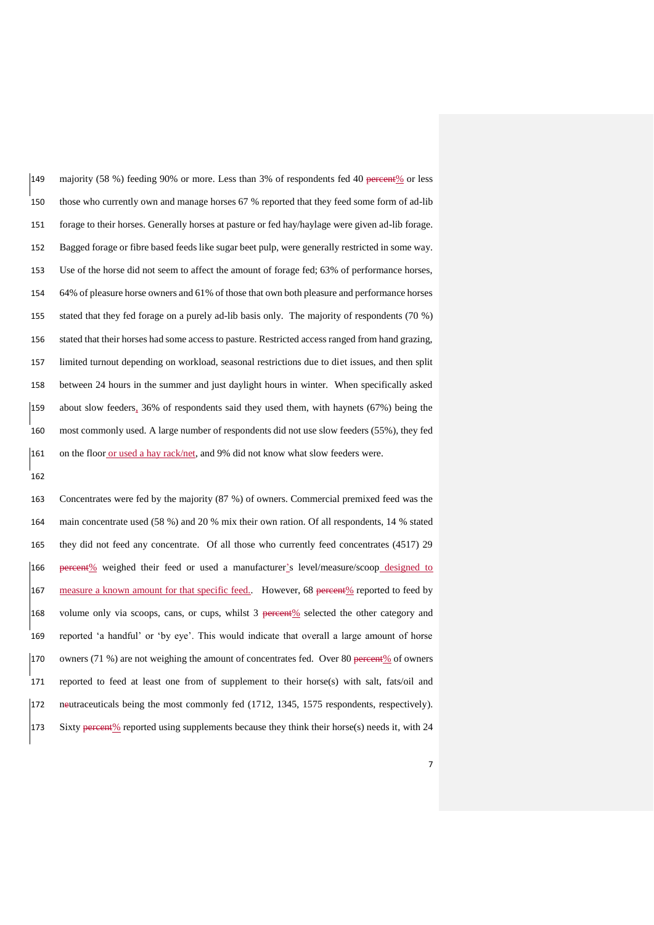149 majority (58 %) feeding 90% or more. Less than 3% of respondents fed 40 percent % or less those who currently own and manage horses 67 % reported that they feed some form of ad-lib forage to their horses. Generally horses at pasture or fed hay/haylage were given ad-lib forage. Bagged forage or fibre based feeds like sugar beet pulp, were generally restricted in some way. Use of the horse did not seem to affect the amount of forage fed; 63% of performance horses, 64% of pleasure horse owners and 61% of those that own both pleasure and performance horses stated that they fed forage on a purely ad-lib basis only. The majority of respondents (70 %) stated that their horses had some access to pasture. Restricted access ranged from hand grazing, limited turnout depending on workload, seasonal restrictions due to diet issues, and then split between 24 hours in the summer and just daylight hours in winter. When specifically asked about slow feeders, 36% of respondents said they used them, with haynets (67%) being the most commonly used. A large number of respondents did not use slow feeders (55%), they fed on the floor or used a hay rack/net, and 9% did not know what slow feeders were.

 Concentrates were fed by the majority (87 %) of owners. Commercial premixed feed was the main concentrate used (58 %) and 20 % mix their own ration. Of all respondents, 14 % stated they did not feed any concentrate. Of all those who currently feed concentrates (4517) 29 percent% weighed their feed or used a manufacturer's level/measure/scoop designed to 167 measure a known amount for that specific feed. However, 68 percent% reported to feed by 168 volume only via scoops, cans, or cups, whilst 3 percent% selected the other category and reported 'a handful' or 'by eye'. This would indicate that overall a large amount of horse 170 owners (71 %) are not weighing the amount of concentrates fed. Over 80 percent% of owners reported to feed at least one from of supplement to their horse(s) with salt, fats/oil and neutraceuticals being the most commonly fed (1712, 1345, 1575 respondents, respectively). 173 Sixty percent% reported using supplements because they think their horse(s) needs it, with 24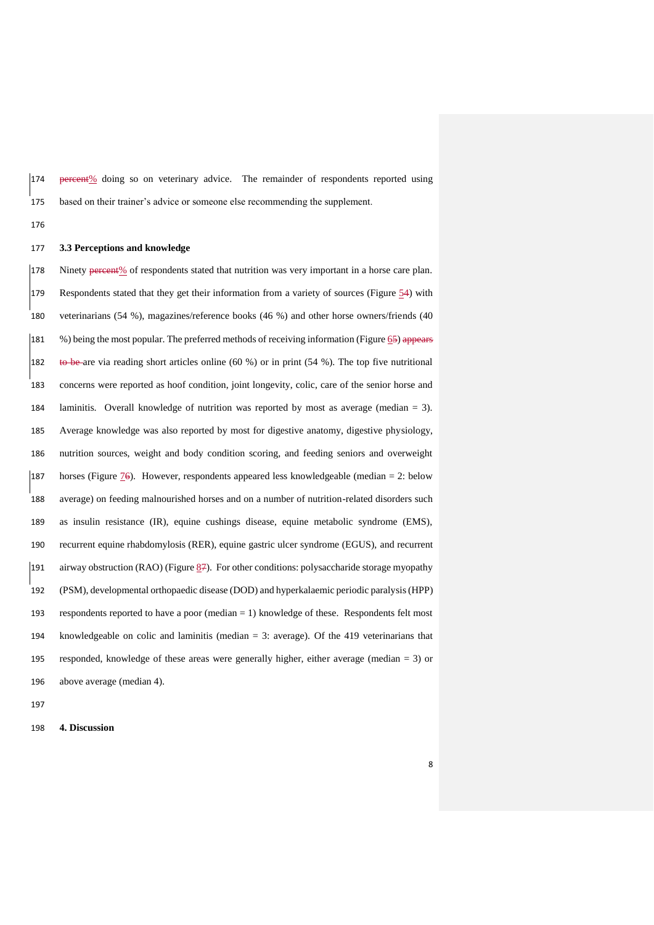174 <del>percent</del>% doing so on veterinary advice. The remainder of respondents reported using based on their trainer's advice or someone else recommending the supplement.

## **3.3 Perceptions and knowledge**

178 Ninety percent<sup>%</sup> of respondents stated that nutrition was very important in a horse care plan. Respondents stated that they get their information from a variety of sources (Figure 54) with veterinarians (54 %), magazines/reference books (46 %) and other horse owners/friends (40 %) being the most popular. The preferred methods of receiving information (Figure 65) appears 182 to be are via reading short articles online (60 %) or in print (54 %). The top five nutritional concerns were reported as hoof condition, joint longevity, colic, care of the senior horse and laminitis. Overall knowledge of nutrition was reported by most as average (median = 3). Average knowledge was also reported by most for digestive anatomy, digestive physiology, nutrition sources, weight and body condition scoring, and feeding seniors and overweight 187 horses (Figure  $\mathcal{I}\Theta$ ). However, respondents appeared less knowledgeable (median = 2: below average) on feeding malnourished horses and on a number of nutrition-related disorders such as insulin resistance (IR), equine cushings disease, equine metabolic syndrome (EMS), recurrent equine rhabdomylosis (RER), equine gastric ulcer syndrome (EGUS), and recurrent 191 airway obstruction (RAO) (Figure ). For other conditions: polysaccharide storage myopathy (PSM), developmental orthopaedic disease (DOD) and hyperkalaemic periodic paralysis (HPP) respondents reported to have a poor (median = 1) knowledge of these. Respondents felt most knowledgeable on colic and laminitis (median = 3: average). Of the 419 veterinarians that responded, knowledge of these areas were generally higher, either average (median = 3) or above average (median 4).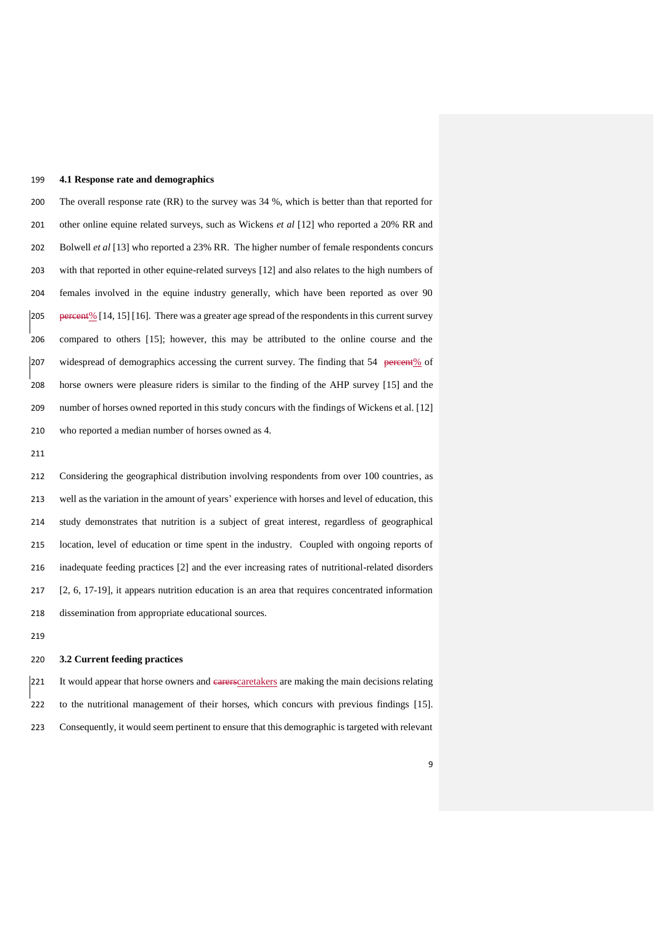## **4.1 Response rate and demographics**

 The overall response rate (RR) to the survey was 34 %, which is better than that reported for other online equine related surveys, such as Wickens *et al* [\[12\]](#page-16-10) who reported a 20% RR and Bolwell *et al* [\[13\]](#page-17-0) who reported a 23% RR. The higher number of female respondents concurs with that reported in other equine-related surveys [\[12\]](#page-16-10) and also relates to the high numbers of females involved in the equine industry generally, which have been reported as over 90 205 percent<sup>%</sup> [\[14,](#page-17-1) [15\]](#page-17-2) [\[16\]](#page-17-3). There was a greater age spread of the respondents in this current survey compared to others [\[15\]](#page-17-2); however, this may be attributed to the online course and the 207 widespread of demographics accessing the current survey. The finding that 54 percent% of horse owners were pleasure riders is similar to the finding of the AHP survey [\[15\]](#page-17-2) and the number of horses owned reported in this study concurs with the findings of Wickens et al. [\[12\]](#page-16-10) who reported a median number of horses owned as 4.

 Considering the geographical distribution involving respondents from over 100 countries, as well as the variation in the amount of years' experience with horses and level of education, this study demonstrates that nutrition is a subject of great interest, regardless of geographical location, level of education or time spent in the industry. Coupled with ongoing reports of inadequate feeding practices [\[2\]](#page-16-1) and the ever increasing rates of nutritional-related disorders [\[2,](#page-16-1) [6,](#page-16-3) [17-19\]](#page-17-4), it appears nutrition education is an area that requires concentrated information dissemination from appropriate educational sources.

### **3.2 Current feeding practices**

221 It would appear that horse owners and earerscaretakers are making the main decisions relating to the nutritional management of their horses, which concurs with previous findings [\[15\]](#page-17-2). Consequently, it would seem pertinent to ensure that this demographic is targeted with relevant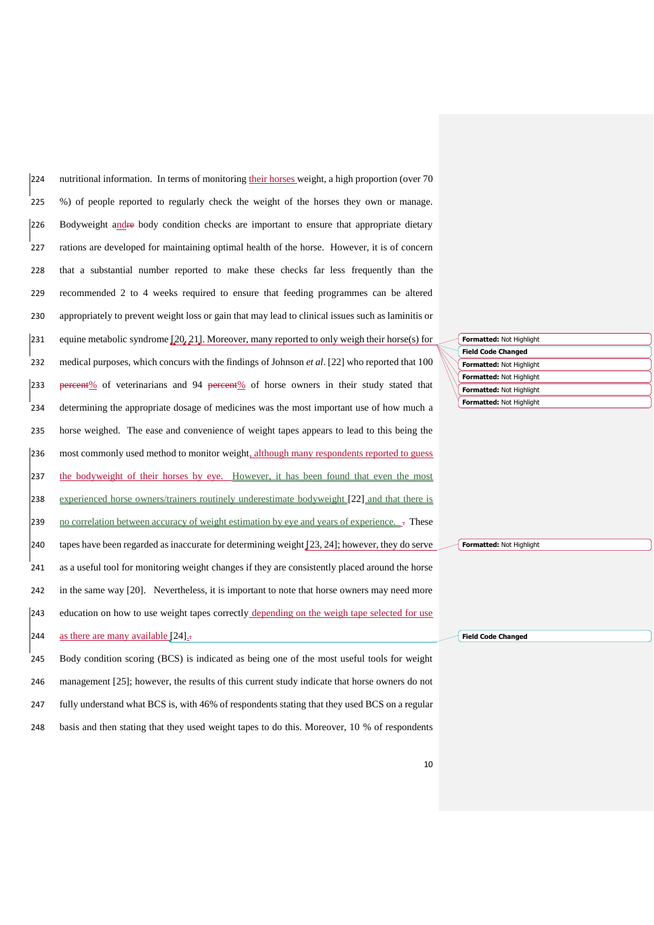nutritional information. In terms of monitoring their horses weight, a high proportion (over 70 %) of people reported to regularly check the weight of the horses they own or manage. Bodyweight andre body condition checks are important to ensure that appropriate dietary rations are developed for maintaining optimal health of the horse. However, it is of concern that a substantial number reported to make these checks far less frequently than the recommended 2 to 4 weeks required to ensure that feeding programmes can be altered appropriately to prevent weight loss or gain that may lead to clinical issues such as laminitis or 231 equine metabolic syndrome  $[20, 21]$  $[20, 21]$ . Moreover, many reported to only weigh their horse(s) for medical purposes, which concurs with the findings of Johnson *et al*. [\[22\]](#page-17-7) who reported that 100 233 percent% of veterinarians and 94 percent% of horse owners in their study stated that determining the appropriate dosage of medicines was the most important use of how much a horse weighed. The ease and convenience of weight tapes appears to lead to this being the most commonly used method to monitor weight, although many respondents reported to guess 237 the bodyweight of their horses by eye. However, it has been found that even the most 238 experienced horse owners/trainers routinely underestimate bodyweight [\[22\]](#page-17-7) and that there is 239 no correlation between accuracy of weight estimation by eye and years of experience.  $\overline{a}$ . 240 tapes have been regarded as inaccurate for determining weight  $[23, 24]$  $[23, 24]$ ; however, they do serve as a useful tool for monitoring weight changes if they are consistently placed around the horse in the same way [\[20\]](#page-17-5). Nevertheless, it is important to note that horse owners may need more education on how to use weight tapes correctly depending on the weigh tape selected for use 244 as there are many available  $[24]$ . Body condition scoring (BCS) is indicated as being one of the most useful tools for weight

246 management [\[25\]](#page-18-0); however, the results of this current study indicate that horse owners do not 247 fully understand what BCS is, with 46% of respondents stating that they used BCS on a regular 248 basis and then stating that they used weight tapes to do this. Moreover, 10 % of respondents

|  | Formatted: Not Highlight  |
|--|---------------------------|
|  | <b>Field Code Changed</b> |
|  | Formatted: Not Highlight  |
|  | Formatted: Not Highlight  |
|  | Formatted: Not Highlight  |
|  | Formatted: Not Highlight  |

**Formatted:** Not Highlight

**Field Code Changed**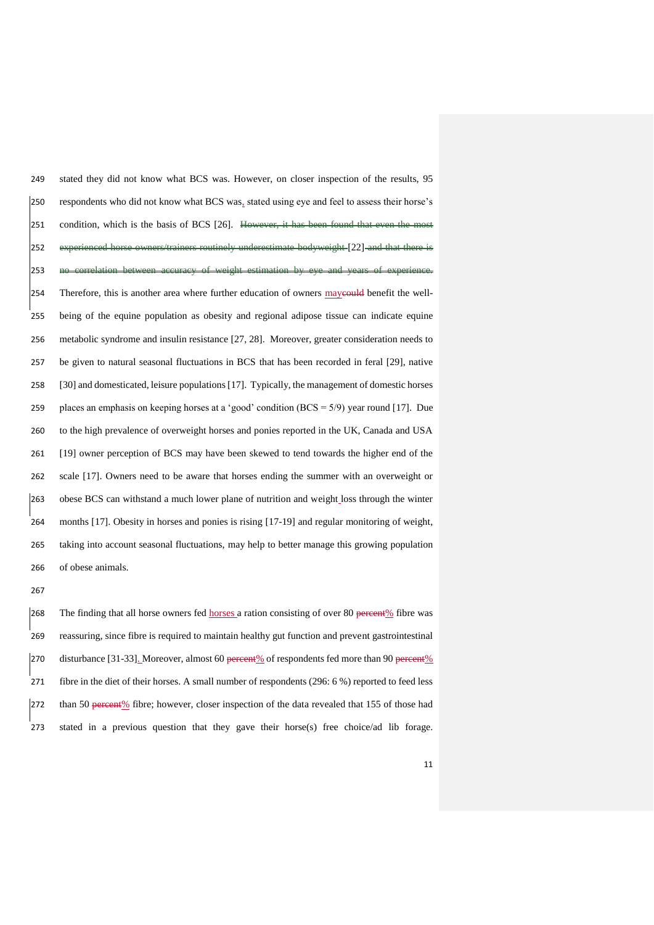stated they did not know what BCS was. However, on closer inspection of the results, 95 respondents who did not know what BCS was, stated using eye and feel to assess their horse's 251 condition, which is the basis of BCS [\[26\]](#page-18-1). However, it has been found that even the most 252 experienced horse owners/trainers routinely underestimate bodyweight [\[22\]](#page-17-7) and that there no correlation between accuracy of weight estimation by eye and years of experience. 254 Therefore, this is another area where further education of owners may even benefit the well- being of the equine population as obesity and regional adipose tissue can indicate equine metabolic syndrome and insulin resistance [\[27,](#page-18-2) [28\]](#page-18-3). Moreover, greater consideration needs to be given to natural seasonal fluctuations in BCS that has been recorded in feral [\[29\]](#page-18-4), native [\[30\]](#page-18-5) and domesticated, leisure populations [\[17\]](#page-17-4). Typically, the management of domestic horses 259 places an emphasis on keeping horses at a 'good' condition  $(BCS = 5/9)$  year round [\[17\]](#page-17-4). Due to the high prevalence of overweight horses and ponies reported in the UK, Canada and USA [\[19\]](#page-17-10) owner perception of BCS may have been skewed to tend towards the higher end of the scale [\[17\]](#page-17-4). Owners need to be aware that horses ending the summer with an overweight or obese BCS can withstand a much lower plane of nutrition and weight loss through the winter months [\[17\]](#page-17-4). Obesity in horses and ponies is rising [\[17-19\]](#page-17-4) and regular monitoring of weight, taking into account seasonal fluctuations, may help to better manage this growing population of obese animals.

268 The finding that all horse owners fed horses a ration consisting of over 80 percent % fibre was reassuring, since fibre is required to maintain healthy gut function and prevent gastrointestinal 270 disturbance [\[31-33\]](#page-18-6). Moreover, almost 60 percent% of respondents fed more than 90 percent% fibre in the diet of their horses. A small number of respondents (296: 6 %) reported to feed less than 50 percent% fibre; however, closer inspection of the data revealed that 155 of those had stated in a previous question that they gave their horse(s) free choice/ad lib forage.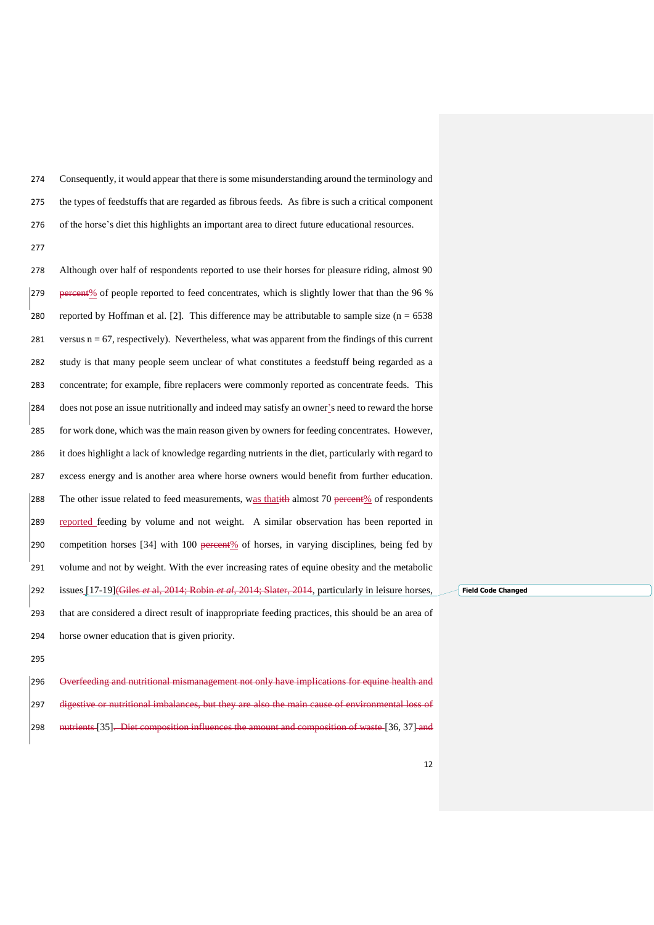Consequently, it would appear that there is some misunderstanding around the terminology and the types of feedstuffs that are regarded as fibrous feeds. As fibre is such a critical component of the horse's diet this highlights an important area to direct future educational resources.

 Although over half of respondents reported to use their horses for pleasure riding, almost 90 percent% of people reported to feed concentrates, which is slightly lower that than the 96 % 280 reported by Hoffman et al. [\[2\]](#page-16-1). This difference may be attributable to sample size  $(n = 6538)$ 281 versus  $n = 67$ , respectively). Nevertheless, what was apparent from the findings of this current study is that many people seem unclear of what constitutes a feedstuff being regarded as a concentrate; for example, fibre replacers were commonly reported as concentrate feeds. This does not pose an issue nutritionally and indeed may satisfy an owner's need to reward the horse for work done, which was the main reason given by owners for feeding concentrates. However, it does highlight a lack of knowledge regarding nutrients in the diet, particularly with regard to excess energy and is another area where horse owners would benefit from further education. 288 The other issue related to feed measurements, was that it almost 70 percent  $%$  of respondents reported feeding by volume and not weight. A similar observation has been reported in 290 competition horses  $[34]$  with 100 percent% of horses, in varying disciplines, being fed by volume and not by weight. With the ever increasing rates of equine obesity and the metabolic issues [\[17-19\]](#page-17-4)(Giles *et* al, 2014; Robin *et al*, 2014; Slater, 2014, particularly in leisure horses, that are considered a direct result of inappropriate feeding practices, this should be an area of horse owner education that is given priority.

**Field Code Changed**

 Overfeeding and nutritional mismanagement not only have implications for equine health and 297 digestive or nutritional imbalances, but they are also the main cause of environmental loss of 298 mutrients [\[35\]](#page-19-0). Diet composition influences the amount and composition of waste [\[36,](#page-19-1) [37\]](#page-19-2) and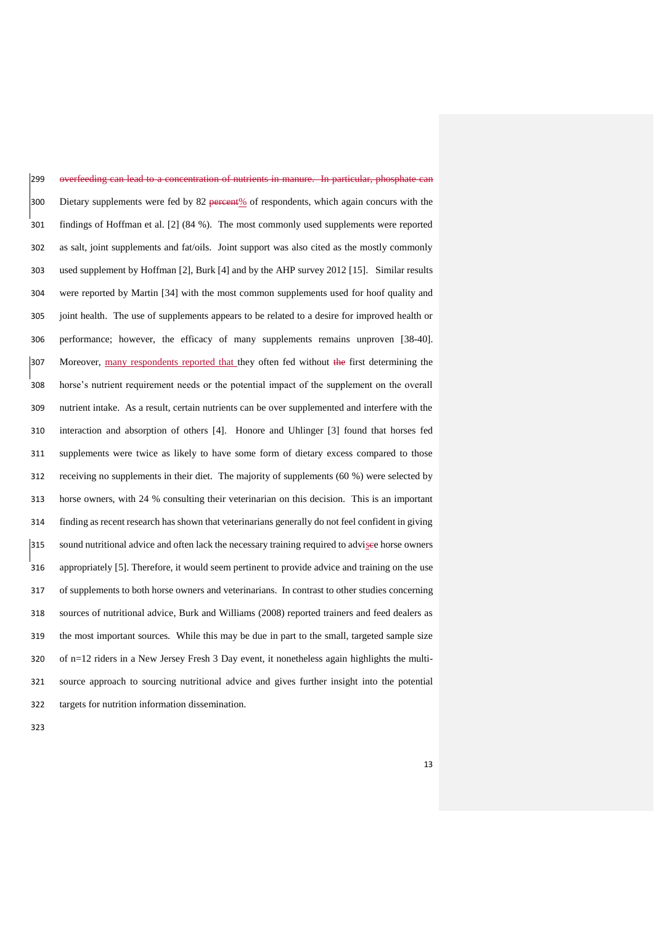overfeeding can lead to a concentration of nutrients in manure. In particular, phosphate can 300 Dietary supplements were fed by 82 percent  $\frac{1}{2}$  of respondents, which again concurs with the findings of Hoffman et al. [\[2\]](#page-16-1) (84 %). The most commonly used supplements were reported as salt, joint supplements and fat/oils. Joint support was also cited as the mostly commonly used supplement by Hoffman [\[2\]](#page-16-1), Burk [\[4\]](#page-16-11) and by the AHP survey 2012 [\[15\]](#page-17-2). Similar results were reported by Martin [\[34\]](#page-18-7) with the most common supplements used for hoof quality and joint health. The use of supplements appears to be related to a desire for improved health or performance; however, the efficacy of many supplements remains unproven [\[38-40\]](#page-19-3). 307 Moreover, many respondents reported that they often fed without the first determining the horse's nutrient requirement needs or the potential impact of the supplement on the overall nutrient intake. As a result, certain nutrients can be over supplemented and interfere with the interaction and absorption of others [\[4\]](#page-16-11). Honore and Uhlinger [\[3\]](#page-16-4) found that horses fed supplements were twice as likely to have some form of dietary excess compared to those receiving no supplements in their diet. The majority of supplements (60 %) were selected by horse owners, with 24 % consulting their veterinarian on this decision. This is an important finding as recent research has shown that veterinarians generally do not feel confident in giving 315 sound nutritional advice and often lack the necessary training required to advisee horse owners appropriately [\[5\]](#page-16-2). Therefore, it would seem pertinent to provide advice and training on the use of supplements to both horse owners and veterinarians. In contrast to other studies concerning sources of nutritional advice, Burk and Williams (2008) reported trainers and feed dealers as the most important sources. While this may be due in part to the small, targeted sample size of n=12 riders in a New Jersey Fresh 3 Day event, it nonetheless again highlights the multi- source approach to sourcing nutritional advice and gives further insight into the potential targets for nutrition information dissemination.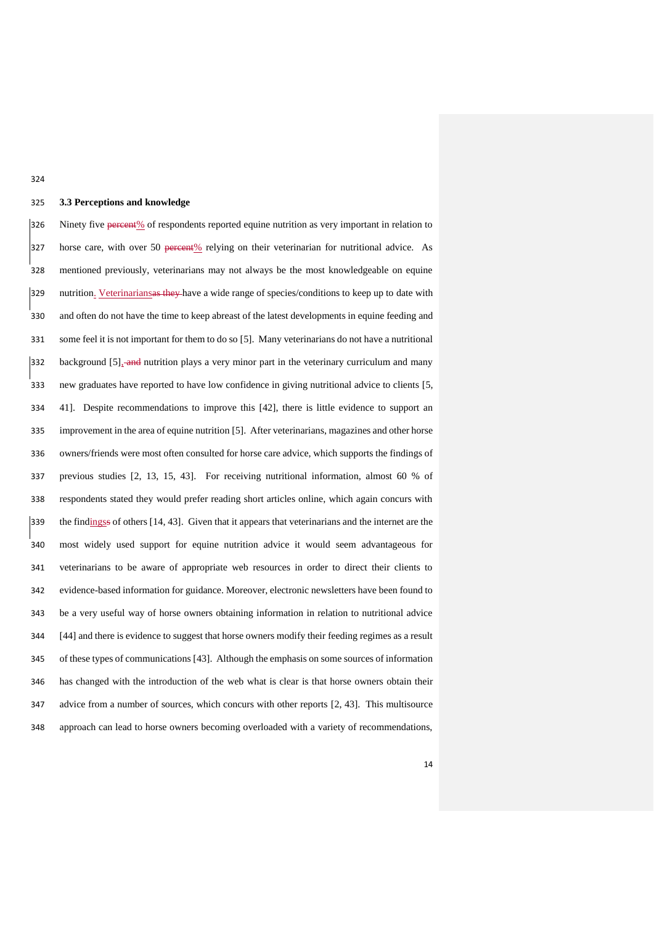## **3.3 Perceptions and knowledge**

326 Ninety five <del>percent</del>% of respondents reported equine nutrition as very important in relation to 327 horse care, with over 50 percent% relying on their veterinarian for nutritional advice. As mentioned previously, veterinarians may not always be the most knowledgeable on equine 329 nutrition. Veterinarianses they have a wide range of species/conditions to keep up to date with and often do not have the time to keep abreast of the latest developments in equine feeding and some feel it is not important for them to do so [\[5\]](#page-16-2). Many veterinarians do not have a nutritional 332 background [\[5\]](#page-16-2), and nutrition plays a very minor part in the veterinary curriculum and many new graduates have reported to have low confidence in giving nutritional advice to clients [\[5,](#page-16-2) [41\]](#page-19-4). Despite recommendations to improve this [\[42\]](#page-19-5), there is little evidence to support an improvement in the area of equine nutrition [\[5\]](#page-16-2). After veterinarians, magazines and other horse owners/friends were most often consulted for horse care advice, which supports the findings of previous studies [\[2,](#page-16-1) [13,](#page-17-0) [15,](#page-17-2) [43\]](#page-19-6). For receiving nutritional information, almost 60 % of respondents stated they would prefer reading short articles online, which again concurs with the findingss of others [\[14,](#page-17-1) [43\]](#page-19-6). Given that it appears that veterinarians and the internet are the most widely used support for equine nutrition advice it would seem advantageous for veterinarians to be aware of appropriate web resources in order to direct their clients to evidence-based information for guidance. Moreover, electronic newsletters have been found to be a very useful way of horse owners obtaining information in relation to nutritional advice [\[44\]](#page-19-7) and there is evidence to suggest that horse owners modify their feeding regimes as a result of these types of communications [\[43\]](#page-19-6). Although the emphasis on some sources of information has changed with the introduction of the web what is clear is that horse owners obtain their advice from a number of sources, which concurs with other reports [\[2,](#page-16-1) [43\]](#page-19-6). This multisource approach can lead to horse owners becoming overloaded with a variety of recommendations,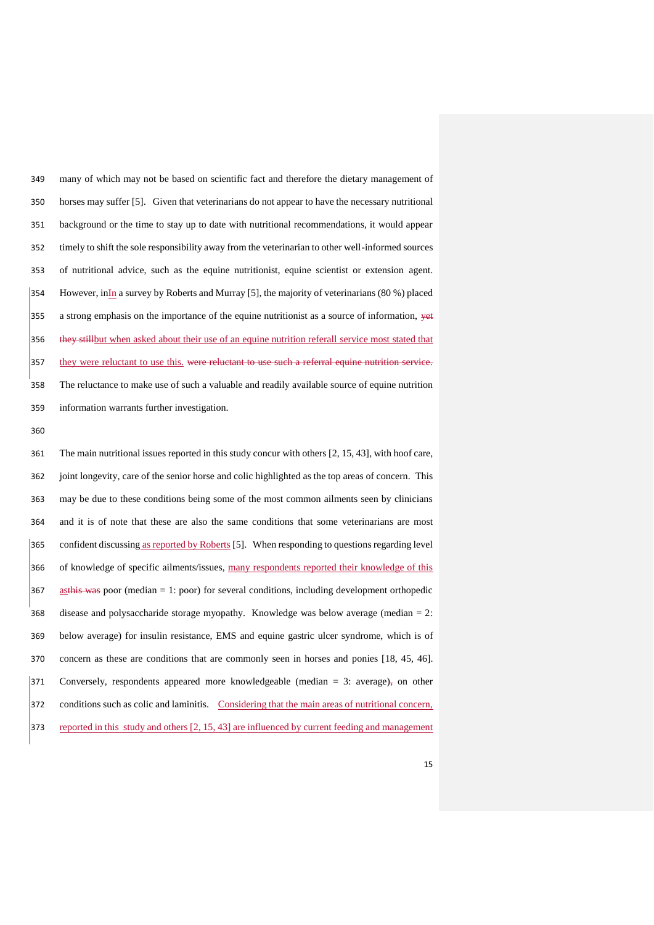many of which may not be based on scientific fact and therefore the dietary management of horses may suffer [\[5\]](#page-16-2). Given that veterinarians do not appear to have the necessary nutritional background or the time to stay up to date with nutritional recommendations, it would appear timely to shift the sole responsibility away from the veterinarian to other well-informed sources of nutritional advice, such as the equine nutritionist, equine scientist or extension agent. 354 However, in $\overline{\ln}$  a survey by Roberts and Murray [\[5\]](#page-16-2), the majority of veterinarians (80 %) placed 355 a strong emphasis on the importance of the equine nutritionist as a source of information, yet 356 they still but when asked about their use of an equine nutrition referall service most stated that 357 they were reluctant to use this. were reluctant to use such a referral equine nutrition service. The reluctance to make use of such a valuable and readily available source of equine nutrition information warrants further investigation.

 The main nutritional issues reported in this study concur with others [\[2,](#page-16-1) [15,](#page-17-2) [43\]](#page-19-6), with hoof care, joint longevity, care of the senior horse and colic highlighted as the top areas of concern. This may be due to these conditions being some of the most common ailments seen by clinicians and it is of note that these are also the same conditions that some veterinarians are most 365 confident discussing as reported by Roberts [\[5\]](#page-16-2). When responding to questions regarding level 366 of knowledge of specific ailments/issues, many respondents reported their knowledge of this 367 asthis was poor (median  $= 1$ : poor) for several conditions, including development orthopedic disease and polysaccharide storage myopathy. Knowledge was below average (median = 2: below average) for insulin resistance, EMS and equine gastric ulcer syndrome, which is of concern as these are conditions that are commonly seen in horses and ponies [\[18,](#page-17-11) [45,](#page-19-8) [46\]](#page-19-9). 371 Conversely, respondents appeared more knowledgeable (median  $=$  3: average) $\frac{1}{5}$  on other conditions such as colic and laminitis. Considering that the main areas of nutritional concern, 373 reported in this study and others [\[2,](#page-16-1) [15,](#page-17-2) [43\]](#page-19-6) are influenced by current feeding and management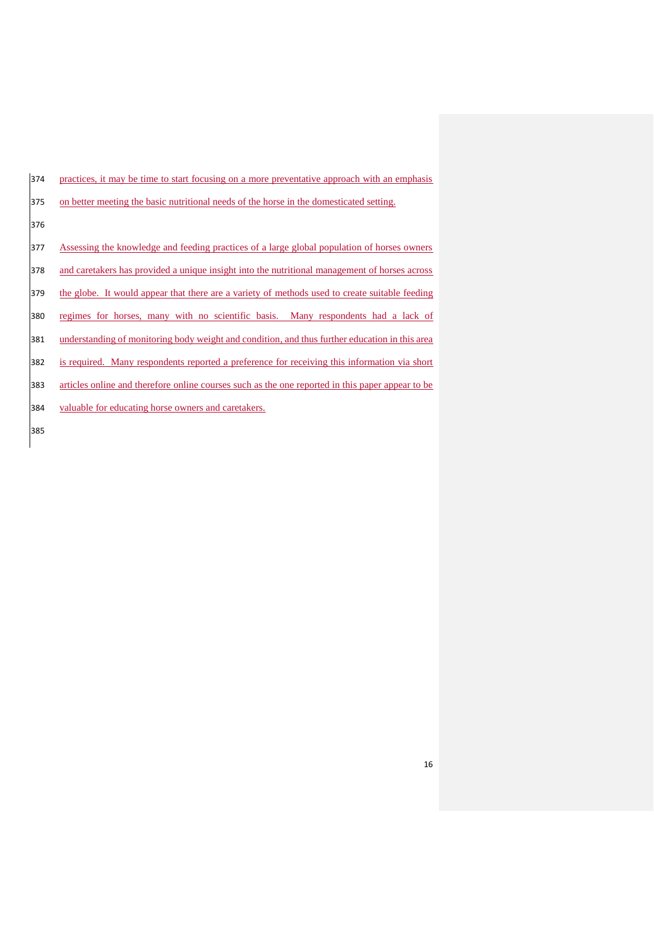| 374 | practices, it may be time to start focusing on a more preventative approach with an emphasis     |
|-----|--------------------------------------------------------------------------------------------------|
| 375 | on better meeting the basic nutritional needs of the horse in the domesticated setting.          |
| 376 |                                                                                                  |
| 377 | Assessing the knowledge and feeding practices of a large global population of horses owners      |
| 378 | and caretakers has provided a unique insight into the nutritional management of horses across    |
| 379 | the globe. It would appear that there are a variety of methods used to create suitable feeding   |
| 380 | regimes for horses, many with no scientific basis. Many respondents had a lack of                |
| 381 | understanding of monitoring body weight and condition, and thus further education in this area   |
| 382 | is required. Many respondents reported a preference for receiving this information via short     |
| 383 | articles online and therefore online courses such as the one reported in this paper appear to be |
| 384 | valuable for educating horse owners and caretakers.                                              |
| 385 |                                                                                                  |
|     |                                                                                                  |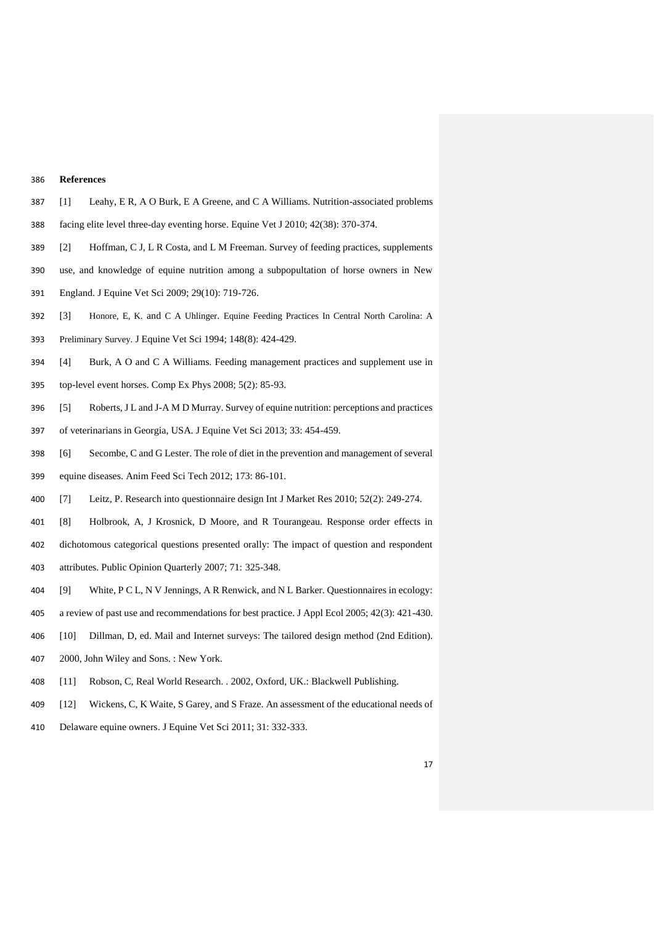## **References**

- <span id="page-16-0"></span>[1] Leahy, E R, A O Burk, E A Greene, and C A Williams. Nutrition-associated problems
- facing elite level three-day eventing horse. Equine Vet J 2010; 42(38): 370-374.
- <span id="page-16-1"></span>[2] Hoffman, C J, L R Costa, and L M Freeman. Survey of feeding practices, supplements
- use, and knowledge of equine nutrition among a subpopultation of horse owners in New
- England. J Equine Vet Sci 2009; 29(10): 719-726.
- <span id="page-16-4"></span>[3] Honore, E, K. and C A Uhlinger. Equine Feeding Practices In Central North Carolina: A
- Preliminary Survey. J Equine Vet Sci 1994; 148(8): 424-429.
- <span id="page-16-11"></span>[4] Burk, A O and C A Williams. Feeding management practices and supplement use in
- top-level event horses. Comp Ex Phys 2008; 5(2): 85-93.
- <span id="page-16-2"></span>[5] Roberts, J L and J-A M D Murray. Survey of equine nutrition: perceptions and practices
- of veterinarians in Georgia, USA. J Equine Vet Sci 2013; 33: 454-459.
- <span id="page-16-3"></span> [6] Secombe, C and G Lester. The role of diet in the prevention and management of several equine diseases. Anim Feed Sci Tech 2012; 173: 86-101.
- <span id="page-16-5"></span>[7] Leitz, P. Research into questionnaire design Int J Market Res 2010; 52(2): 249-274.
- <span id="page-16-6"></span>[8] Holbrook, A, J Krosnick, D Moore, and R Tourangeau. Response order effects in
- dichotomous categorical questions presented orally: The impact of question and respondent attributes. Public Opinion Quarterly 2007; 71: 325-348.
- 
- <span id="page-16-7"></span>[9] White, P C L, N V Jennings, A R Renwick, and N L Barker. Questionnaires in ecology:
- a review of past use and recommendations for best practice. J Appl Ecol 2005; 42(3): 421-430.
- <span id="page-16-8"></span>[10] Dillman, D, ed. Mail and Internet surveys: The tailored design method (2nd Edition).
- 2000, John Wiley and Sons. : New York.
- <span id="page-16-9"></span>[11] Robson, C, Real World Research. . 2002, Oxford, UK.: Blackwell Publishing.
- <span id="page-16-10"></span>[12] Wickens, C, K Waite, S Garey, and S Fraze. An assessment of the educational needs of
- Delaware equine owners. J Equine Vet Sci 2011; 31: 332-333.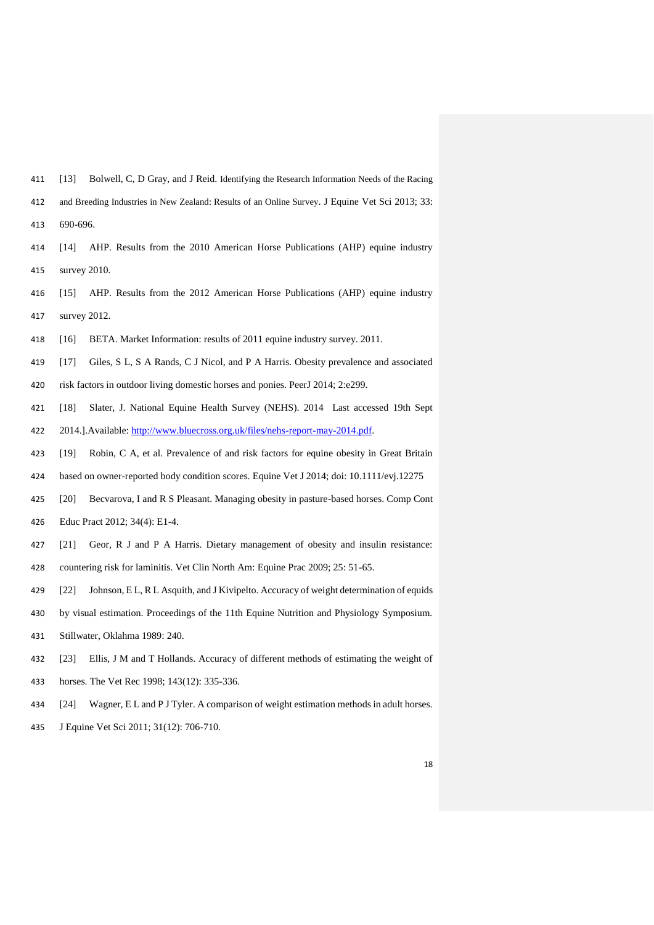- <span id="page-17-0"></span>[13] Bolwell, C, D Gray, and J Reid. Identifying the Research Information Needs of the Racing
- and Breeding Industries in New Zealand: Results of an Online Survey. J Equine Vet Sci 2013; 33:
- 690-696.
- <span id="page-17-1"></span> [14] AHP. Results from the 2010 American Horse Publications (AHP) equine industry survey 2010.
- <span id="page-17-2"></span> [15] AHP. Results from the 2012 American Horse Publications (AHP) equine industry survey 2012.
- <span id="page-17-3"></span>[16] BETA. Market Information: results of 2011 equine industry survey. 2011.
- <span id="page-17-4"></span>[17] Giles, S L, S A Rands, C J Nicol, and P A Harris. Obesity prevalence and associated
- risk factors in outdoor living domestic horses and ponies. PeerJ 2014; 2:e299.
- <span id="page-17-11"></span>[18] Slater, J. National Equine Health Survey (NEHS). 2014 Last accessed 19th Sept
- 2014.].Available: [http://www.bluecross.org.uk/files/nehs-report-may-2014.pdf.](http://www.bluecross.org.uk/files/nehs-report-may-2014.pdf)
- <span id="page-17-10"></span>[19] Robin, C A, et al. Prevalence of and risk factors for equine obesity in Great Britain
- based on owner-reported body condition scores. Equine Vet J 2014; doi: 10.1111/evj.12275
- <span id="page-17-5"></span>[20] Becvarova, I and R S Pleasant. Managing obesity in pasture-based horses. Comp Cont
- Educ Pract 2012; 34(4): E1-4.
- <span id="page-17-6"></span>[21] Geor, R J and P A Harris. Dietary management of obesity and insulin resistance:
- countering risk for laminitis. Vet Clin North Am: Equine Prac 2009; 25: 51-65.
- <span id="page-17-7"></span>[22] Johnson, E L, R L Asquith, and J Kivipelto. Accuracy of weight determination of equids
- by visual estimation. Proceedings of the 11th Equine Nutrition and Physiology Symposium.
- Stillwater, Oklahma 1989: 240.
- <span id="page-17-8"></span>[23] Ellis, J M and T Hollands. Accuracy of different methods of estimating the weight of
- horses. The Vet Rec 1998; 143(12): 335-336.
- <span id="page-17-9"></span>[24] Wagner, E L and P J Tyler. A comparison of weight estimation methods in adult horses.
- J Equine Vet Sci 2011; 31(12): 706-710.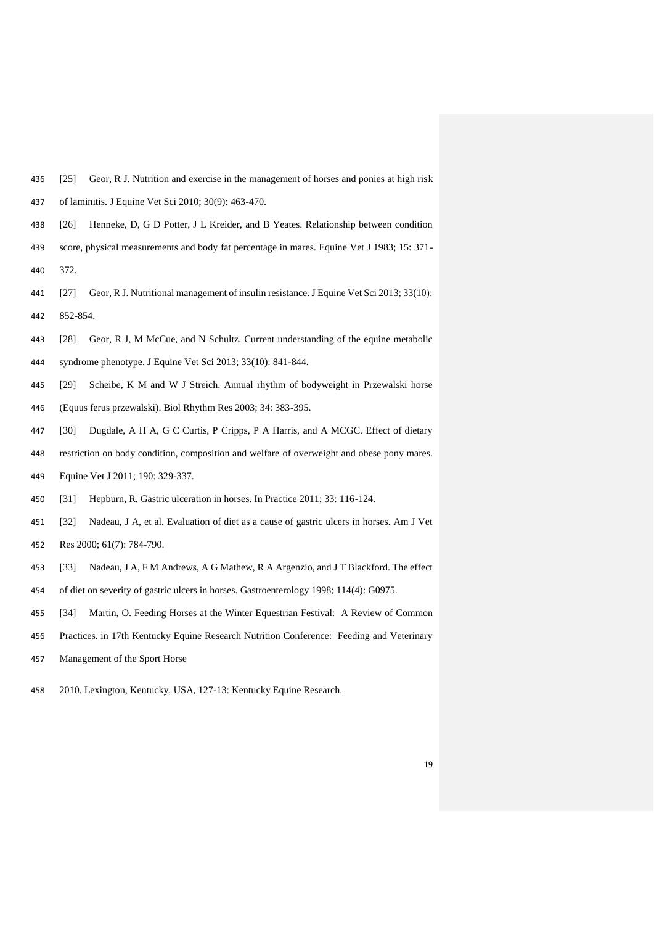- <span id="page-18-0"></span>[25] Geor, R J. Nutrition and exercise in the management of horses and ponies at high risk
- of laminitis. J Equine Vet Sci 2010; 30(9): 463-470.
- <span id="page-18-1"></span>[26] Henneke, D, G D Potter, J L Kreider, and B Yeates. Relationship between condition
- score, physical measurements and body fat percentage in mares. Equine Vet J 1983; 15: 371- 372.
- <span id="page-18-2"></span> [27] Geor, R J. Nutritional management of insulin resistance. J Equine Vet Sci 2013; 33(10): 852-854.
- <span id="page-18-3"></span>[28] Geor, R J, M McCue, and N Schultz. Current understanding of the equine metabolic
- syndrome phenotype. J Equine Vet Sci 2013; 33(10): 841-844.
- <span id="page-18-4"></span>[29] Scheibe, K M and W J Streich. Annual rhythm of bodyweight in Przewalski horse
- (Equus ferus przewalski). Biol Rhythm Res 2003; 34: 383-395.
- <span id="page-18-5"></span>[30] Dugdale, A H A, G C Curtis, P Cripps, P A Harris, and A MCGC. Effect of dietary
- restriction on body condition, composition and welfare of overweight and obese pony mares.
- Equine Vet J 2011; 190: 329-337.
- <span id="page-18-6"></span>[31] Hepburn, R. Gastric ulceration in horses. In Practice 2011; 33: 116-124.
- [32] Nadeau, J A, et al. Evaluation of diet as a cause of gastric ulcers in horses. Am J Vet Res 2000; 61(7): 784-790.
- 
- [33] Nadeau, J A, F M Andrews, A G Mathew, R A Argenzio, and J T Blackford. The effect
- of diet on severity of gastric ulcers in horses. Gastroenterology 1998; 114(4): G0975.
- <span id="page-18-7"></span>[34] Martin, O. Feeding Horses at the Winter Equestrian Festival: A Review of Common
- Practices. in 17th Kentucky Equine Research Nutrition Conference: Feeding and Veterinary
- Management of the Sport Horse
- 2010. Lexington, Kentucky, USA, 127-13: Kentucky Equine Research.